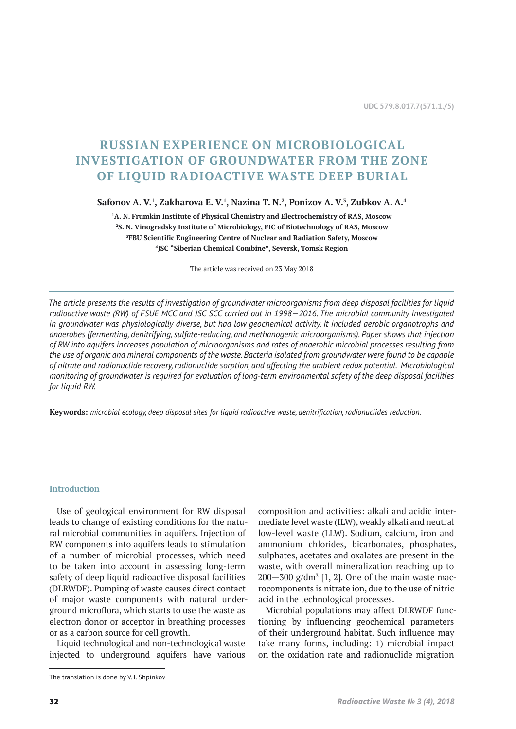# **RUSSIAN EXPERIENCE ON MICROBIOLOGICAL INVESTIGATION OF GROUNDWATER FROM THE ZONE OF LIQUID RADIOACTIVE WASTE DEEP BURIAL**

**Safonov A. V.1 , Zakharova E. V.1 , Nazina T. N.2 , Ponizov A. V.3 , Zubkov A. A.4**

 **A. N. Frumkin Institute of Physical Chemistry and Electrochemistry of RAS, Moscow S. N. Vinogradsky Institute of Microbiology, FIC of Biotechnology of RAS, Moscow FBU Scientific Engineering Centre of Nuclear and Radiation Safety, Moscow JSC "Siberian Chemical Combine", Seversk, Tomsk Region**

The article was received on 23 May 2018

*The article presents the results of investigation of groundwater microorganisms from deep disposal facilities for liquid radioactive waste (RW) of FSUE MCC and JSC SCC carried out in 1998—2016. The microbial community investigated in groundwater was physiologically diverse, but had low geochemical activity. It included aerobic organotrophs and anaerobes (fermenting, denitrifying, sulfate-reducing, and methanogenic microorganisms). Paper shows that injection of RW into aquifers increases population of microorganisms and rates of anaerobic microbial processes resulting from the use of organic and mineral components of the waste. Bacteria isolated from groundwater were found to be capable of nitrate and radionuclide recovery, radionuclide sorption, and affecting the ambient redox potential. Microbiological monitoring of groundwater is required for evaluation of long-term environmental safety of the deep disposal facilities for liquid RW.*

**Keywords:** *microbial ecology, deep disposal sites for liquid radioactive waste, denitrification, radionuclides reduction.*

## **Introduction**

Use of geological environment for RW disposal leads to change of existing conditions for the natural microbial communities in aquifers. Injection of RW components into aquifers leads to stimulation of a number of microbial processes, which need to be taken into account in assessing long-term safety of deep liquid radioactive disposal facilities (DLRWDF). Pumping of waste causes direct contact of major waste components with natural underground microflora, which starts to use the waste as electron donor or acceptor in breathing processes or as a carbon source for cell growth.

Liquid technological and non-technological waste injected to underground aquifers have various

The translation is done by V. I. Shpinkov

composition and activities: alkali and acidic intermediate level waste (ILW), weakly alkali and neutral low-level waste (LLW). Sodium, calcium, iron and ammonium chlorides, bicarbonates, phosphates, sulphates, acetates and oxalates are present in the waste, with overall mineralization reaching up to  $200 - 300$  g/dm<sup>3</sup> [1, 2]. One of the main waste macrocomponents is nitrate ion, due to the use of nitric acid in the technological processes.

Microbial populations may affect DLRWDF functioning by influencing geochemical parameters of their underground habitat. Such influence may take many forms, including: 1) microbial impact on the oxidation rate and radionuclide migration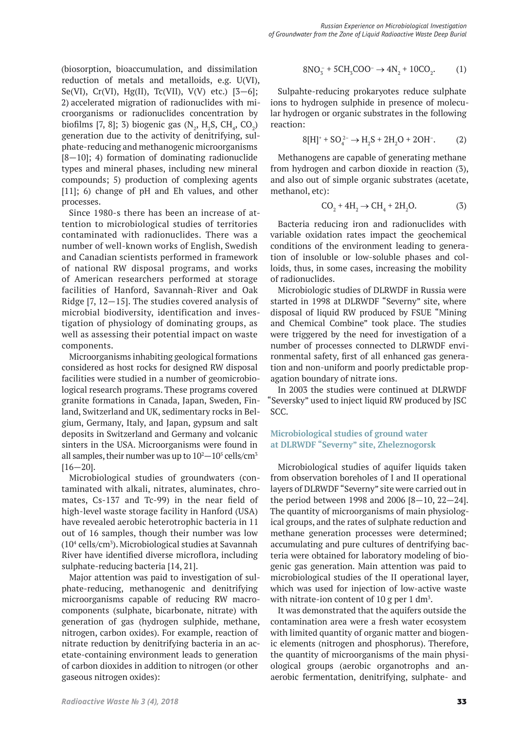(biosorption, bioaccumulation, and dissimilation reduction of metals and metalloids, e.g. U(VI), Se(VI), Cr(VI), Hg(II), Tc(VII), V(V) etc.)  $[3-6]$ ; 2) accelerated migration of radionuclides with microorganisms or radionuclides concentration by biofilms [7, 8]; 3) biogenic gas  $(N_2, H_2S, CH_4, CO_2)$ generation due to the activity of denitrifying, sulphate-reducing and methanogenic microorganisms  $[8-10]$ ; 4) formation of dominating radionuclide types and mineral phases, including new mineral compounds; 5) production of complexing agents [11]; 6) change of pH and Eh values, and other processes.

Since 1980-s there has been an increase of attention to microbiological studies of territories contaminated with radionuclides. There was a number of well-known works of English, Swedish and Canadian scientists performed in framework of national RW disposal programs, and works of American researchers performed at storage facilities of Hanford, Savannah-River and Oak Ridge [7, 12—15]. The studies covered analysis of microbial biodiversity, identification and investigation of physiology of dominating groups, as well as assessing their potential impact on waste components.

Microorganisms inhabiting geological formations considered as host rocks for designed RW disposal facilities were studied in a number of geomicrobiological research programs. These programs covered granite formations in Canada, Japan, Sweden, Finland, Switzerland and UK, sedimentary rocks in Belgium, Germany, Italy, and Japan, gypsum and salt deposits in Switzerland and Germany and volcanic sinters in the USA. Microorganisms were found in all samples, their number was up to  $10^2$ – $10^5$  cells/cm $^3$  $[16 - 20]$ .

Microbiological studies of groundwaters (contaminated with alkali, nitrates, aluminates, chromates, Cs-137 and Tc-99) in the near field of high-level waste storage facility in Hanford (USA) have revealed aerobic heterotrophic bacteria in 11 out of 16 samples, though their number was low (104 cells/cm3 ). Microbiological studies at Savannah River have identified diverse microflora, including sulphate-reducing bacteria [14, 21].

Major attention was paid to investigation of sulphate-reducing, methanogenic and denitrifying microorganisms capable of reducing RW macrocomponents (sulphate, bicarbonate, nitrate) with generation of gas (hydrogen sulphide, methane, nitrogen, carbon oxides). For example, reaction of nitrate reduction by denitrifying bacteria in an acetate-containing environment leads to generation of carbon dioxides in addition to nitrogen (or other gaseous nitrogen oxides):

$$
8NO_3^- + 5CH_3COO^- \to 4N_2 + 10CO_2. \tag{1}
$$

Sulpahte-reducing prokaryotes reduce sulphate ions to hydrogen sulphide in presence of molecular hydrogen or organic substrates in the following reaction:

$$
8[H]^{+} + SO_{4}^{2-} \rightarrow H_{2}S + 2H_{2}O + 2OH^{-}. \tag{2}
$$

Methanogens are capable of generating methane from hydrogen and carbon dioxide in reaction (3), and also out of simple organic substrates (acetate, methanol, etc):

$$
CO_2 + 4H_2 \to CH_4 + 2H_2O. \tag{3}
$$

Bacteria reducing iron and radionuclides with variable oxidation rates impact the geochemical conditions of the environment leading to generation of insoluble or low-soluble phases and colloids, thus, in some cases, increasing the mobility of radionuclides.

Microbiologic studies of DLRWDF in Russia were started in 1998 at DLRWDF "Severny" site, where disposal of liquid RW produced by FSUE "Mining and Chemical Combine" took place. The studies were triggered by the need for investigation of a number of processes connected to DLRWDF environmental safety, first of all enhanced gas generation and non-uniform and poorly predictable propagation boundary of nitrate ions.

In 2003 the studies were continued at DLRWDF "Seversky" used to inject liquid RW produced by JSC SCC.

# **Microbiological studies of ground water at DLRWDF "Severny" site, Zheleznogorsk**

Microbiological studies of aquifer liquids taken from observation boreholes of I and II operational layers of DLRWDF "Severny" site were carried out in the period between 1998 and 2006 [8—10, 22—24]. The quantity of microorganisms of main physiological groups, and the rates of sulphate reduction and methane generation processes were determined; accumulating and pure cultures of dentrifying bacteria were obtained for laboratory modeling of biogenic gas generation. Main attention was paid to microbiological studies of the II operational layer, which was used for injection of low-active waste with nitrate-ion content of 10 g per 1 dm<sup>3</sup>.

It was demonstrated that the aquifers outside the contamination area were a fresh water ecosystem with limited quantity of organic matter and biogenic elements (nitrogen and phosphorus). Therefore, the quantity of microorganisms of the main physiological groups (aerobic organotrophs and anaerobic fermentation, denitrifying, sulphate- and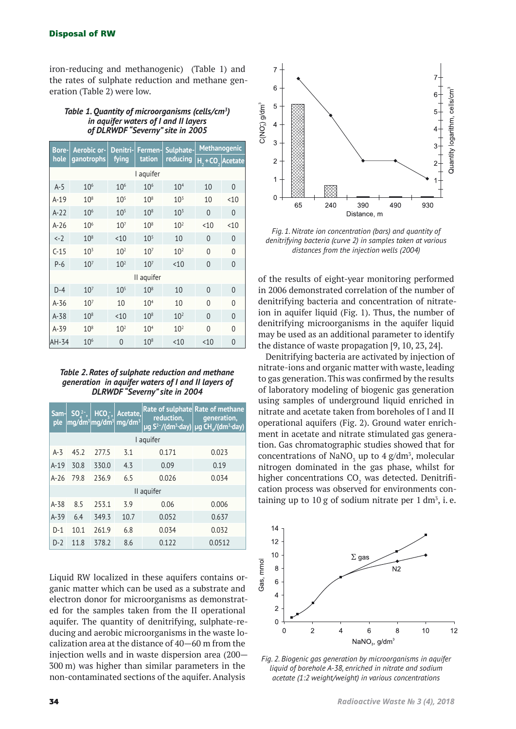iron-reducing and methanogenic) (Table 1) and the rates of sulphate reduction and methane generation (Table 2) were low.

#### *Table 1. Quantity of microorganisms (cells/cm3 ) in aquifer waters of I and II layers of DLRWDF "Severny" site in 2005*

| <b>Bore-</b>   | Aerobic or-     | Denitri-        | Fermen-         | Sulphate-                   | <b>Methanogenic</b> |                |  |  |
|----------------|-----------------|-----------------|-----------------|-----------------------------|---------------------|----------------|--|--|
| hole           | ganotrophs      | fying           | tation          | reducing                    | $H, +CO,$ Acetate   |                |  |  |
| I aquifer      |                 |                 |                 |                             |                     |                |  |  |
| $A-5$          | 10 <sup>6</sup> | 10 <sup>6</sup> | 10 <sup>6</sup> | 10 <sup>4</sup>             | 10                  | 0              |  |  |
| $A-19$         | $10^{8}$        | $10^{5}$        | $10^{8}$        | $10^{3}$                    | 10                  | < 10           |  |  |
| $A-22$         | 10 <sup>6</sup> | $10^{5}$        | $10^{8}$        | 10 <sup>3</sup>             | $\overline{0}$      | $\overline{0}$ |  |  |
| $A-26$         | 10 <sup>6</sup> | $10^{7}$        | $10^{8}$        | 10 <sup>2</sup>             | < 10                | < 10           |  |  |
| $\leftarrow$ 2 | $10^{8}$        | < 10            | $10^{5}$        | 10                          | $\overline{0}$      | 0              |  |  |
| $C-15$         | $10^{3}$        | 10 <sup>2</sup> | $10^{7}$        | 10 <sup>2</sup>             | $\Omega$            | 0              |  |  |
| $P-6$          | 10 <sup>7</sup> | 10 <sup>2</sup> | 10 <sup>7</sup> | < 10                        | 0                   | 0              |  |  |
| II aquifer     |                 |                 |                 |                             |                     |                |  |  |
| $D-4$          | $10^{7}$        | $10^{5}$        | $10^{8}$        | 10                          | 0                   | 0              |  |  |
| A-36           | $10^{7}$        | 10              | 10 <sup>4</sup> | 10                          | $\Omega$            | 0              |  |  |
| $A-38$         | $10^{8}$        | < 10            | $10^{8}$        | 10 <sup>2</sup>             | 0                   | $\overline{0}$ |  |  |
| $A-39$         | $10^{8}$        | 10 <sup>2</sup> | 10 <sup>4</sup> | 10 <sup>2</sup><br>$\Omega$ |                     | $\overline{0}$ |  |  |
| AH-34          | 10 <sup>6</sup> | $\overline{0}$  | $10^{8}$        | < 10                        | < 10                | 0              |  |  |

*Table 2. Rates of sulphate reduction and methane generation in aquifer waters of I and II layers of DLRWDF "Severny" site in 2004*

| Sam-<br>ple | $SO_{4}^{2-}$ , | $HCO_{\overline{3}}$ , | Acetate,<br>mg/dm <sup>3</sup>  mg/dm <sup>3</sup>  mg/dm <sup>3</sup> | reduction, | Rate of sulphate Rate of methane<br>generation,<br>µg S <sup>2-</sup> /(dm <sup>3</sup> ·day) µg CH <sub>4</sub> /(dm <sup>3</sup> ·day) |  |  |
|-------------|-----------------|------------------------|------------------------------------------------------------------------|------------|------------------------------------------------------------------------------------------------------------------------------------------|--|--|
| I aquifer   |                 |                        |                                                                        |            |                                                                                                                                          |  |  |
| $A-3$       | 45.2            | 277.5                  | 3.1                                                                    | 0.171      | 0.023                                                                                                                                    |  |  |
| $A-19$      | 30.8            | 330.0                  | 4.3                                                                    | 0.09       | 0.19                                                                                                                                     |  |  |
| $A-26$      | 79.8            | 236.9                  | 6.5                                                                    | 0.026      | 0.034                                                                                                                                    |  |  |
| II aquifer  |                 |                        |                                                                        |            |                                                                                                                                          |  |  |
| $A - 38$    | 8.5             | 253.1                  | 3.9                                                                    | 0.06       | 0.006                                                                                                                                    |  |  |
| $A-39$      | 6.4             | 349.3                  | 10.7                                                                   | 0.052      | 0.637                                                                                                                                    |  |  |
| $D-1$       | 10.1            | 261.9                  | 6.8                                                                    | 0.034      | 0.032                                                                                                                                    |  |  |
| $D-2$       | 11.8            | 378.2                  | 8.6                                                                    | 0.122      | 0.0512                                                                                                                                   |  |  |

Liquid RW localized in these aquifers contains organic matter which can be used as a substrate and electron donor for microorganisms as demonstrated for the samples taken from the II operational aquifer. The quantity of denitrifying, sulphate-reducing and aerobic microorganisms in the waste localization area at the distance of 40—60 m from the injection wells and in waste dispersion area (200— 300 m) was higher than similar parameters in the non-contaminated sections of the aquifer. Analysis



*Fig. 1. Nitrate ion concentration (bars) and quantity of denitrifying bacteria (curve 2) in samples taken at various distances from the injection wells (2004)*

of the results of eight-year monitoring performed in 2006 demonstrated correlation of the number of denitrifying bacteria and concentration of nitrateion in aquifer liquid (Fig. 1). Thus, the number of denitrifying microorganisms in the aquifer liquid may be used as an additional parameter to identify the distance of waste propagation [9, 10, 23, 24].

Denitrifying bacteria are activated by injection of nitrate-ions and organic matter with waste, leading to gas generation. This was confirmed by the results of laboratory modeling of biogenic gas generation using samples of underground liquid enriched in nitrate and acetate taken from boreholes of I and II operational aquifers (Fig. 2). Ground water enrichment in acetate and nitrate stimulated gas generation. Gas chromatographic studies showed that for concentrations of NaNO<sub>3</sub> up to  $4 \text{ g/dm}^3$ , molecular nitrogen dominated in the gas phase, whilst for higher concentrations CO $_{\text{2}}$  was detected. Denitrification process was observed for environments containing up to 10 g of sodium nitrate per 1  $dm^3$ , i.e.



*Fig. 2. Biogenic gas generation by microorganisms in aquifer liquid of borehole A-38, enriched in nitrate and sodium acetate (1:2 weight/weight) in various concentrations*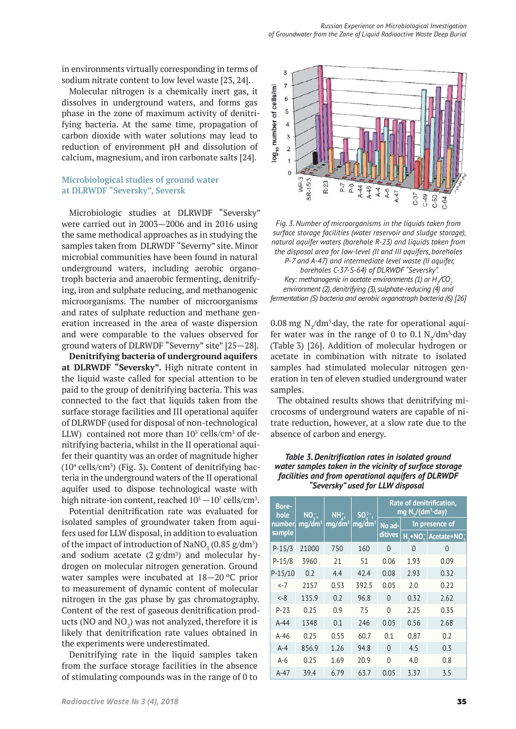in environments virtually corresponding in terms of sodium nitrate content to low level waste [23, 24].

Molecular nitrogen is a chemically inert gas, it dissolves in underground waters, and forms gas phase in the zone of maximum activity of denitrifying bacteria. At the same time, propagation of carbon dioxide with water solutions may lead to reduction of environment pH and dissolution of calcium, magnesium, and iron carbonate salts [24].

## **Microbiological studies of ground water at DLRWDF "Seversky", Seversk**

Microbiologic studies at DLRWDF "Seversky" were carried out in 2003—2006 and in 2016 using the same methodical approaches as in studying the samples taken from DLRWDF "Severny" site. Minor microbial communities have been found in natural underground waters, including aerobic organotroph bacteria and anaerobic fermenting, denitrifying, iron and sulphate reducing, and methanogenic microorganisms. The number of microorganisms and rates of sulphate reduction and methane generation increased in the area of waste dispersion and were comparable to the values observed for ground waters of DLRWDF "Severny" site" [25—28].

**Denitrifying bacteria of underground aquifers at DLRWDF "Seversky".** High nitrate content in the liquid waste called for special attention to be paid to the group of denitrifying bacteria. This was connected to the fact that liquids taken from the surface storage facilities and III operational aquifer of DLRWDF (used for disposal of non-technological LLW) contained not more than  $10^3$  cells/cm<sup>3</sup> of denitrifying bacteria, whilst in the II operational aquifer their quantity was an order of magnitude higher  $(10<sup>4</sup>$  cells/cm<sup>3</sup>) (Fig. 3). Content of denitrifying bacteria in the underground waters of the II operational aquifer used to dispose technological waste with high nitrate-ion content, reached  $10^{\rm 5}\!-\!10^{\rm 7}$  cells/cm $^{\rm 3}$ .

Potential denitrification rate was evaluated for isolated samples of groundwater taken from aquifers used for LLW disposal, in addition to evaluation of the impact of introduction of  $\text{NaNO}_3^{\circ}(0.85 \text{ g/dm}^3)$ and sodium acetate  $(2 g/dm<sup>3</sup>)$  and molecular hydrogen on molecular nitrogen generation. Ground water samples were incubated at 18—20 ºС prior to measurement of dynamic content of molecular nitrogen in the gas phase by gas chromatography. Content of the rest of gaseous denitrification products (NO and  $\rm NO_2)$  was not analyzed, therefore it is likely that denitrification rate values obtained in the experiments were underestimated.

Denitrifying rate in the liquid samples taken from the surface storage facilities in the absence of stimulating compounds was in the range of 0 to



*Fig. 3. Number of microorganisms in the liquids taken from surface storage facilities (water reservoir and sludge storage), natural aquifer waters (borehole R-23) and liquids taken from the disposal area for low-level (II and III aquifers, boreholes P-7 and A-47) and intermediate level waste (II aquifer, boreholes C-37-S-64) of DLRWDF "Seversky". Key: methanogenic in acetate environments (1) or H<sub>2</sub>/CO<sub>2</sub> environment (2), denitrifying (3), sulphate-reducing (4) and fermentation (5) bacteria and aerobic organotroph bacteria (6) [26]*

 $0.08$  mg N<sub>2</sub>/dm<sup>3</sup>·day, the rate for operational aquifer water was in the range of 0 to  $0.1 \text{ N}_2/\text{dm}^3$  day (Table 3) [26]. Addition of molecular hydrogen or acetate in combination with nitrate to isolated samples had stimulated molecular nitrogen generation in ten of eleven studied underground water samples.

The obtained results shows that denitrifying microcosms of underground waters are capable of nitrate reduction, however, at a slow rate due to the absence of carbon and energy.

| Table 3. Denitrification rates in isolated ground      |
|--------------------------------------------------------|
| water samples taken in the vicinity of surface storage |
| facilities and from operational aquifers of DLRWDF     |
| "Seversky" used for LLW disposal                       |

| <b>Bore-</b><br>hole | NO <sub>z</sub> ,<br>mq/dm <sup>3</sup> | $NHA$ ,<br>mg/dm <sup>3</sup> | $SO_4^{2-}$<br>$\mathsf{Im} \mathsf{q}/\mathsf{dm}^3$ | Rate of denitrification,<br>mg N <sub>2</sub> /(dm <sup>3</sup> ·day) |                |                                                |  |
|----------------------|-----------------------------------------|-------------------------------|-------------------------------------------------------|-----------------------------------------------------------------------|----------------|------------------------------------------------|--|
| number,              |                                         |                               |                                                       | No ad-<br>ditives                                                     | In presence of |                                                |  |
| sample               |                                         |                               |                                                       |                                                                       |                | $H_1$ +NO <sub>z</sub> Acetate+NO <sub>z</sub> |  |
| $P-15/3$             | 21000                                   | 750                           | 160                                                   | 0                                                                     | 0              | 0                                              |  |
| $P-15/8$             | 3960                                    | 21                            | 51                                                    | 0.06                                                                  | 1.93           | 0.09                                           |  |
| $P-15/10$            | 0.2                                     | 4.4                           | 42.4                                                  | 0.08                                                                  | 2.93           | 0.32                                           |  |
| $\leftarrow$ 7       | 2157                                    | 0.53                          | 392.5                                                 | 0.05                                                                  | 2.0            | 0.22                                           |  |
| $\leftarrow$ 8       | 135.9                                   | 0.2                           | 96.8                                                  | $\Omega$                                                              | 0.32           | 2.62                                           |  |
| $P-23$               | 0.25                                    | 0.9                           | 7.5                                                   | $\Omega$                                                              | 2.25           | 0.35                                           |  |
| $A-44$               | 1348                                    | 0.1                           | 246                                                   | 0.05                                                                  | 0.56           | 2.68                                           |  |
| $A-46$               | 0.25                                    | 0.55                          | 60.7                                                  | 0.1                                                                   | 0.87           | 0.2                                            |  |
| $A-4$                | 856.9                                   | 1.26                          | 94.8                                                  | $\Omega$                                                              | 4.5            | 0.3                                            |  |
| $A-6$                | 0.25                                    | 1.69                          | 20.9                                                  | $\Omega$                                                              | 4.0            | 0.8                                            |  |
| $A-47$               | 39.4                                    | 6.79                          | 63.7                                                  | 0.05                                                                  | 3.37           | 3.5                                            |  |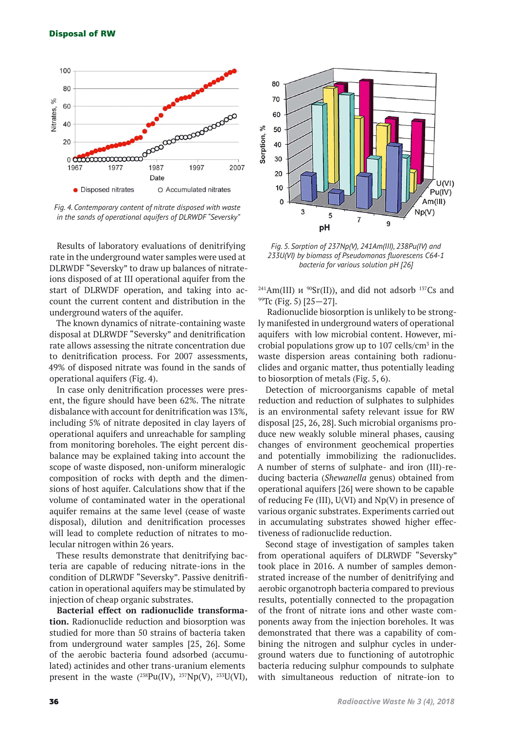

*Fig. 4. Contemporary content of nitrate disposed with waste in the sands of operational aquifers of DLRWDF "Seversky"*

Results of laboratory evaluations of denitrifying rate in the underground water samples were used at DLRWDF "Seversky" to draw up balances of nitrateions disposed of at III operational aquifer from the start of DLRWDF operation, and taking into account the current content and distribution in the underground waters of the aquifer.

The known dynamics of nitrate-containing waste disposal at DLRWDF "Seversky" and denitrification rate allows assessing the nitrate concentration due to denitrification process. For 2007 assessments, 49% of disposed nitrate was found in the sands of operational aquifers (Fig. 4).

In case only denitrification processes were present, the figure should have been 62%. The nitrate disbalance with account for denitrification was 13%, including 5% of nitrate deposited in clay layers of operational aquifers and unreachable for sampling from monitoring boreholes. The eight percent disbalance may be explained taking into account the scope of waste disposed, non-uniform mineralogic composition of rocks with depth and the dimensions of host aquifer. Calculations show that if the volume of contaminated water in the operational aquifer remains at the same level (cease of waste disposal), dilution and denitrification processes will lead to complete reduction of nitrates to molecular nitrogen within 26 years.

These results demonstrate that denitrifying bacteria are capable of reducing nitrate-ions in the condition of DLRWDF "Seversky". Passive denitrification in operational aquifers may be stimulated by injection of cheap organic substrates.

**Bacterial effect on radionuclide transformation.** Radionuclide reduction and biosorption was studied for more than 50 strains of bacteria taken from underground water samples [25, 26]. Some of the aerobic bacteria found adsorbed (accumulated) actinides and other trans-uranium elements present in the waste  $(^{238}Pu(IV), {}^{237}Np(V), {}^{233}U(VI),$ 



*Fig. 5. Sorption of 237Np(V), 241Am(III), 238Pu(IV) and 233U(VI) by biomass of Pseudomonas fluorescens C64-1 bacteria for various solution pH [26]*

<sup>241</sup>Am(III) *u* <sup>90</sup>Sr(II)), and did not adsorb <sup>137</sup>Cs and <sup>99</sup>Tc (Fig. 5) [25—27].

 Radionuclide biosorption is unlikely to be strongly manifested in underground waters of operational aquifers with low microbial content. However, microbial populations grow up to  $107$  cells/cm<sup>3</sup> in the waste dispersion areas containing both radionuclides and organic matter, thus potentially leading to biosorption of metals (Fig. 5, 6).

Detection of microorganisms capable of metal reduction and reduction of sulphates to sulphides is an environmental safety relevant issue for RW disposal [25, 26, 28]. Such microbial organisms produce new weakly soluble mineral phases, causing changes of environment geochemical properties and potentially immobilizing the radionuclides. A number of sterns of sulphate- and iron (III)-reducing bacteria (*Shewanella* genus) obtained from operational aquifers [26] were shown to be capable of reducing Fe  $(III)$ , U(VI) and Np(V) in presence of various organic substrates. Experiments carried out in accumulating substrates showed higher effectiveness of radionuclide reduction.

Second stage of investigation of samples taken from operational aquifers of DLRWDF "Seversky" took place in 2016. A number of samples demonstrated increase of the number of denitrifying and aerobic organotroph bacteria compared to previous results, potentially connected to the propagation of the front of nitrate ions and other waste components away from the injection boreholes. It was demonstrated that there was a capability of combining the nitrogen and sulphur cycles in underground waters due to functioning of autotrophic bacteria reducing sulphur compounds to sulphate with simultaneous reduction of nitrate-ion to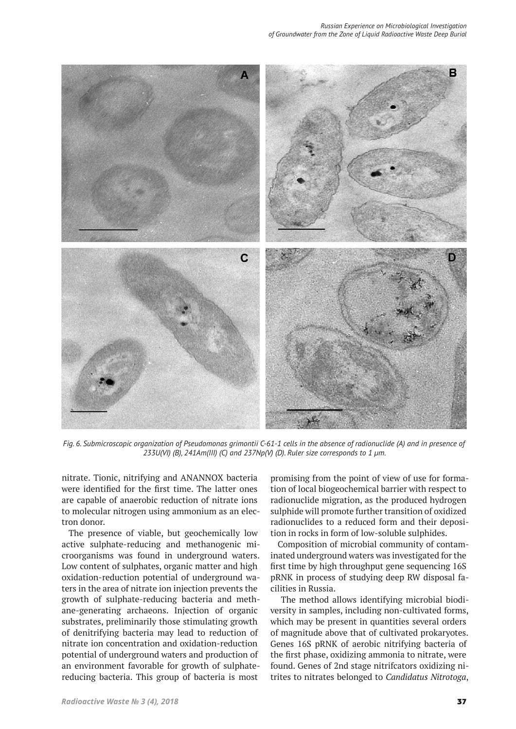

*Fig. 6. Submicroscopic organization of Pseudomonas grimontii С-61-1 cells in the absence of radionuclide (A) and in presence of 233U(VI) (B), 241Am(III) (C) and 237Np(V) (D). Ruler size corresponds to 1 μm.*

nitrate. Tionic, nitrifying and ANANNOX bacteria were identified for the first time. The latter ones are capable of anaerobic reduction of nitrate ions to molecular nitrogen using ammonium as an electron donor.

The presence of viable, but geochemically low active sulphate-reducing and methanogenic microorganisms was found in underground waters. Low content of sulphates, organic matter and high oxidation-reduction potential of underground waters in the area of nitrate ion injection prevents the growth of sulphate-reducing bacteria and methane-generating archaeons. Injection of organic substrates, preliminarily those stimulating growth of denitrifying bacteria may lead to reduction of nitrate ion concentration and oxidation-reduction potential of underground waters and production of an environment favorable for growth of sulphatereducing bacteria. This group of bacteria is most

promising from the point of view of use for formation of local biogeochemical barrier with respect to radionuclide migration, as the produced hydrogen sulphide will promote further transition of oxidized radionuclides to a reduced form and their deposition in rocks in form of low-soluble sulphides.

Composition of microbial community of contaminated underground waters was investigated for the first time by high throughput gene sequencing 16S pRNK in process of studying deep RW disposal facilities in Russia.

 The method allows identifying microbial biodiversity in samples, including non-cultivated forms, which may be present in quantities several orders of magnitude above that of cultivated prokaryotes. Genes 16S pRNK of aerobic nitrifying bacteria of the first phase, oxidizing ammonia to nitrate, were found. Genes of 2nd stage nitrifcators oxidizing nitrites to nitrates belonged to *Candidatus Nitrotoga*,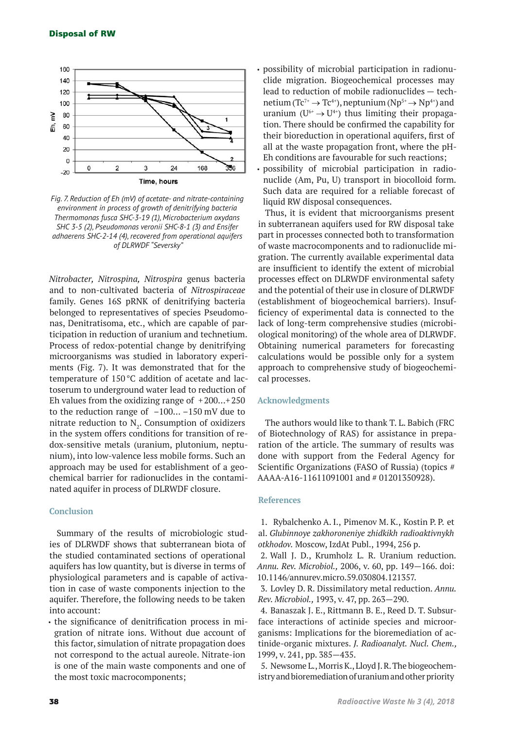

*Fig. 7. Reduction of Eh (mV) of acetate- and nitrate-containing environment in process of growth of denitrifying bacteria Thermomonas fusca SHC-3-19 (1), Microbacterium oxydans SHC 3-5 (2), Pseudomonas veronii SHC-8-1 (3) and Ensifer adhaerens SHC-2-14 (4), recovered from operational aquifers of DLRWDF "Seversky"*

*Nitrobacter, Nitrospina, Nitrospira* genus bacteria and to non-cultivated bacteria of *Nitrospiraceae*  family. Genes 16S pRNK of denitrifying bacteria belonged to representatives of species Pseudomonas, Denitratisoma, etc., which are capable of participation in reduction of uranium and technetium. Process of redox-potential change by denitrifying microorganisms was studied in laboratory experiments (Fig. 7). It was demonstrated that for the temperature of 150°С addition of acetate and lactoserum to underground water lead to reduction of Eh values from the oxidizing range of  $+200...+250$ to the reduction range of  $-100... -150$  mV due to nitrate reduction to  $N_{2}$ . Consumption of oxidizers in the system offers conditions for transition of redox-sensitive metals (uranium, plutonium, neptunium), into low-valence less mobile forms. Such an approach may be used for establishment of a geochemical barrier for radionuclides in the contaminated aquifer in process of DLRWDF closure.

## **Conclusion**

Summary of the results of microbiologic studies of DLRWDF shows that subterranean biota of the studied contaminated sections of operational aquifers has low quantity, but is diverse in terms of physiological parameters and is capable of activation in case of waste components injection to the aquifer. Therefore, the following needs to be taken into account:

• the significance of denitrification process in migration of nitrate ions. Without due account of this factor, simulation of nitrate propagation does not correspond to the actual aureole. Nitrate-ion is one of the main waste components and one of the most toxic macrocomponents;

• possibility of microbial participation in radionuclide migration. Biogeochemical processes may lead to reduction of mobile radionuclides — technetium ( $Tc^{7+} \rightarrow Tc^{4+}$ ), neptunium ( $Np^{5+} \rightarrow Np^{4+}$ ) and uranium  $(U^{6+} \rightarrow U^{4+})$  thus limiting their propagation. There should be confirmed the capability for their bioreduction in operational aquifers, first of all at the waste propagation front, where the pH-Eh conditions are favourable for such reactions;

• possibility of microbial participation in radionuclide (Am, Pu, U) transport in biocolloid form. Such data are required for a reliable forecast of liquid RW disposal consequences.

Thus, it is evident that microorganisms present in subterranean aquifers used for RW disposal take part in processes connected both to transformation of waste macrocomponents and to radionuclide migration. The currently available experimental data are insufficient to identify the extent of microbial processes effect on DLRWDF environmental safety and the potential of their use in closure of DLRWDF (establishment of biogeochemical barriers). Insufficiency of experimental data is connected to the lack of long-term comprehensive studies (microbiological monitoring) of the whole area of DLRWDF. Obtaining numerical parameters for forecasting calculations would be possible only for a system approach to comprehensive study of biogeochemical processes.

#### **Acknowledgments**

The authors would like to thank T. L. Babich (FRC of Biotechnology of RAS) for assistance in preparation of the article. The summary of results was done with support from the Federal Agency for Scientific Organizations (FASO of Russia) (topics # AAAA-А16-11611091001 and # 01201350928).

#### **References**

1. Rybalchenko A. I., Pimenov M. K., Kostin P. P. et al. *Glubinnoye zakhoroneniye zhidkikh radioaktivnykh otkhodov.* Moscow, IzdAt Publ., 1994, 256 p.

2. Wall J. D., Krumholz L. R. Uranium reduction. *Annu. Rev. Microbiol.,* 2006, v. 60, pp. 149—166. doi: 10.1146/annurev.micro.59.030804.121357.

3. Lovley D. R. Dissimilatory metal reduction. *Annu. Rev. Microbiol.,* 1993, v. 47, pp. 263—290.

4. Banaszak J. E., Rittmann B. E., Reed D. T. Subsurface interactions of actinide species and microorganisms: Implications for the bioremediation of actinide-organic mixtures. *J. Radioanalyt. Nucl. Chem.,*  1999, v. 241, pp. 385—435.

5. Newsome L., Morris K., Lloyd J. R. The biogeochemistry and bioremediation of uranium and other priority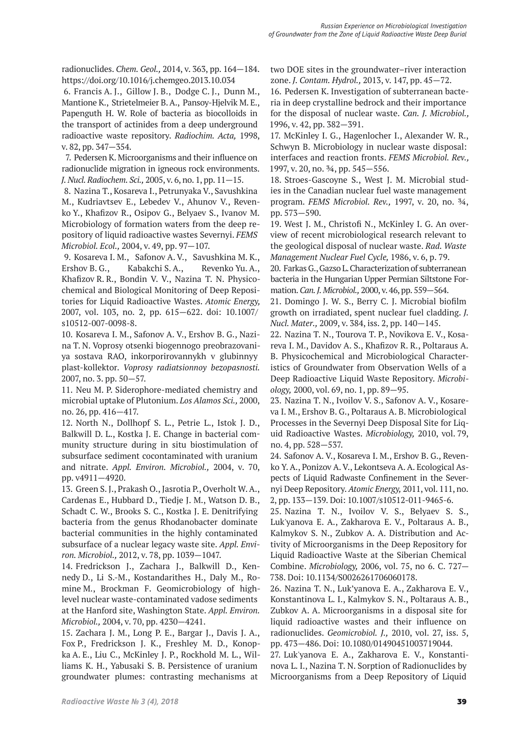radionuclides. *Chem. Geol.,* 2014, v. 363, pp. 164—184. https://doi.org/10.1016/j.chemgeo.2013.10.034

6. Francis A. J., Gillow J. B., Dodge C. J., Dunn M., Mantione K., Strietelmeier B.A., Pansoy-Hjelvik M. E., Papenguth H. W. Role of bacteria as biocolloids in the transport of actinides from a deep underground radioactive waste repository. *Radiochim. Acta,* 1998, v. 82, pp. 347—354.

7. Pedersen K. Microorganisms and their influence on radionuclide migration in igneous rock environments. *J. Nucl. Radiochem. Sci.,* 2005, v. 6, no. 1, pp. 11—15.

8. Nazina T., Kosareva I., Petrunyaka V., Savushkina M., Kudriavtsev E., Lebedev V., Ahunov V., Revenko Y., Khafizov R., Osipov G., Belyaev S., Ivanov M. Microbiology of formation waters from the deep repository of liquid radioactive wastes Severnyi. *FEMS Microbiol. Ecol.,* 2004, v. 49, pp. 97—107.

9. Kosareva I. M., Safonov A. V., Savushkina M. K., Ershov B. G., Kabakchi S. A., Revenko Yu. A., Khafizov R. R., Bondin V. V., Nazina T. N. Physicochemical and Biological Monitoring of Deep Repositories for Liquid Radioactive Wastes. *Atomic Energy,*  2007, vol. 103, no. 2, pp. 615—622. doi: 10.1007/ s10512-007-0098-8.

10. Kosareva I. M., Safonov A. V., Ershov B. G., Nazina T. N. Voprosy otsenki biogennogo preobrazovaniya sostava RAO, inkorporirovannykh v glubinnyy plast-kollektor. *Voprosy radiatsionnoy bezopasnosti.*  2007, no. 3. pp. 50—57.

11. Neu M. P. Siderophore-mediated chemistry and microbial uptake of Plutonium. *Los Alamos Sci.,* 2000, no. 26, pp. 416—417.

12. North N., Dollhopf S. L., Petrie L., Istok J. D., Balkwill D. L., Kostka J. E. Change in bacterial community structure during in situ biostimulation of subsurface sediment cocontaminated with uranium and nitrate. *Appl. Environ. Microbiol.,* 2004, v. 70, pp. v4911—4920.

13. Green S. J., Prakash O., Jasrotia P., Overholt W. A., Cardenas E., Hubbard D., Tiedje J. M., Watson D. B., Schadt C. W., Brooks S. C., Kostka J. E. Denitrifying bacteria from the genus Rhodanobacter dominate bacterial communities in the highly contaminated subsurface of a nuclear legacy waste site. *Appl. Environ. Microbiol.,* 2012, v. 78, pp. 1039—1047.

14. Fredrickson J., Zachara J., Balkwill D., Kennedy D., Li S.-M., Kostandarithes H., Daly M., Romine M., Brockman F. Geomicrobiology of highlevel nuclear waste-contaminated vadose sediments at the Hanford site, Washington State. *Appl. Environ. Microbiol.,* 2004, v. 70, pp. 4230—4241.

15. Zachara J. M., Long P. E., Bargar J., Davis J. A., Fox P., Fredrickson J. K., Freshley M. D., Konopka A. E., Liu C., McKinley J. P., Rockhold M. L., Williams K. H., Yabusaki S. B. Persistence of uranium groundwater plumes: contrasting mechanisms at

two DOE sites in the groundwater–river interaction zone. *J. Contam. Hydrol.,* 2013, v. 147, pp. 45—72.

16. Pedersen K. Investigation of subterranean bacteria in deep crystalline bedrock and their importance for the disposal of nuclear waste. *Can. J. Microbiol.,*  1996, v. 42, pp. 382—391.

17. McKinley I. G., Hagenlocher I., Alexander W. R., Schwyn B. Microbiology in nuclear waste disposal: interfaces and reaction fronts. *FEMS Microbiol. Rev.,*  1997, v. 20, no. ¾, pp. 545—556.

18. Stroes-Gascoyne S., West J. M. Microbial studies in the Canadian nuclear fuel waste management program. *FEMS Microbiol. Rev.,* 1997, v. 20, no. ¾, pp. 573—590.

19. West J. M., Christofi N., McKinley I. G. An overview of recent microbiological research relevant to the geological disposal of nuclear waste. *Rad. Waste Management Nuclear Fuel Cycle,* 1986, v. 6, p. 79.

20. Farkas G., Gazso L. Characterization of subterranean bacteria in the Hungarian Upper Permian Siltstone Formation. *Can. J. Microbiol.,* 2000, v. 46, pp. 559—564.

21. Domingo J. W. S., Berry C. J. Microbial biofilm growth on irradiated, spent nuclear fuel cladding. *J. Nucl. Mater.,* 2009, v. 384, iss. 2, pp. 140—145.

22. Nazina T. N., Tourova T. P., Novikova E. V., Kosareva I. M., Davidov A. S., Khafizov R. R., Poltaraus A. B. Physicochemical and Microbiological Characteristics of Groundwater from Observation Wells of a Deep Radioactive Liquid Waste Repository. *Microbiology,* 2000, vol. 69, no. 1, pp. 89—95.

23. Nazina T. N., Ivoilov V. S., Safonov A. V., Kosareva I. M., Ershov B. G., Poltaraus A. B. Microbiological Processes in the Severnyi Deep Disposal Site for Liquid Radioactive Wastes. *Microbiology,* 2010, vol. 79, no. 4, pp. 528—537.

24. Safonov A. V., Kosareva I. M., Ershov B. G., Revenko Y. A., Ponizov A. V., Lekontseva A. A. Ecological Aspects of Liquid Radwaste Confinement in the Severnyi Deep Repository. *Atomic Energy,* 2011, vol. 111, no. 2, pp. 133—139. Doi: 10.1007/s10512-011-9465-6.

25. Nazina T. N., Ivoilov V. S., Belyaev S. S., Luk'yanova E. A., Zakharova E. V., Poltaraus A. B., Kalmykov S. N., Zubkov A. A. Distribution and Activity of Microorganisms in the Deep Repository for Liquid Radioactive Waste at the Siberian Chemical Combine. *Microbiology,* 2006, vol. 75, no 6. C. 727— 738. Doi: 10.1134/S0026261706060178.

26. Nazina T. N., Luk'yanova E. A., Zakharova E. V., Konstantinova L. I., Kalmykov S. N., Poltaraus A. B., Zubkov A. A. Microorganisms in a disposal site for liquid radioactive wastes and their influence on radionuclides. *Geomicrobiol. J.,* 2010, vol. 27, iss. 5, pp. 473—486. Doi: 10.1080/01490451003719044.

27. Luk'yanova E. A., Zakharova E. V., Konstantinova L. I., Nazina T. N. Sorption of Radionuclides by Microorganisms from a Deep Repository of Liquid